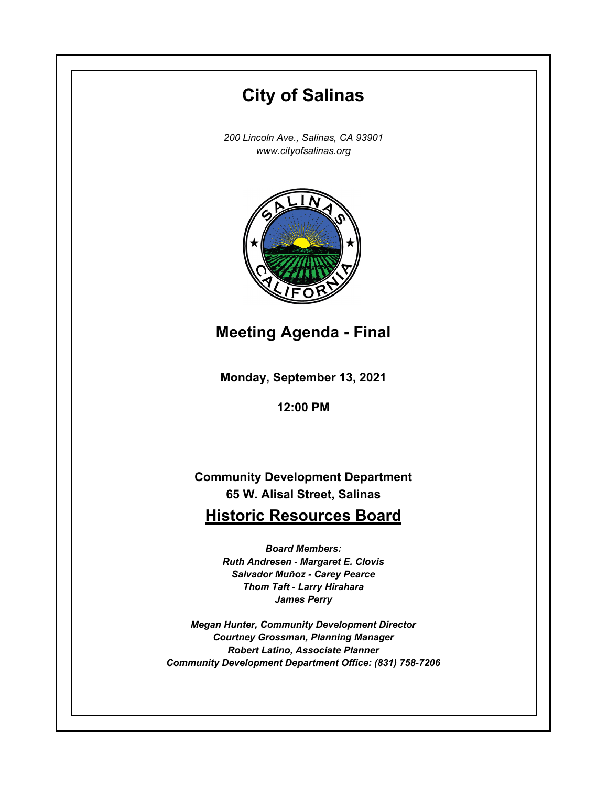# **Monday, September 13, 2021 12:00 PM City of Salinas** *200 Lincoln Ave., Salinas, CA 93901 www.cityofsalinas.org* **Community Development Department 65 W. Alisal Street, Salinas Historic Resources Board** *Board Members: Ruth Andresen - Margaret E. Clovis Salvador Muñoz - Carey Pearce Thom Taft - Larry Hirahara James Perry Megan Hunter, Community Development Director Courtney Grossman, Planning Manager Robert Latino, Associate Planner Community Development Department Office: (831) 758-7206* **Meeting Agenda - Final**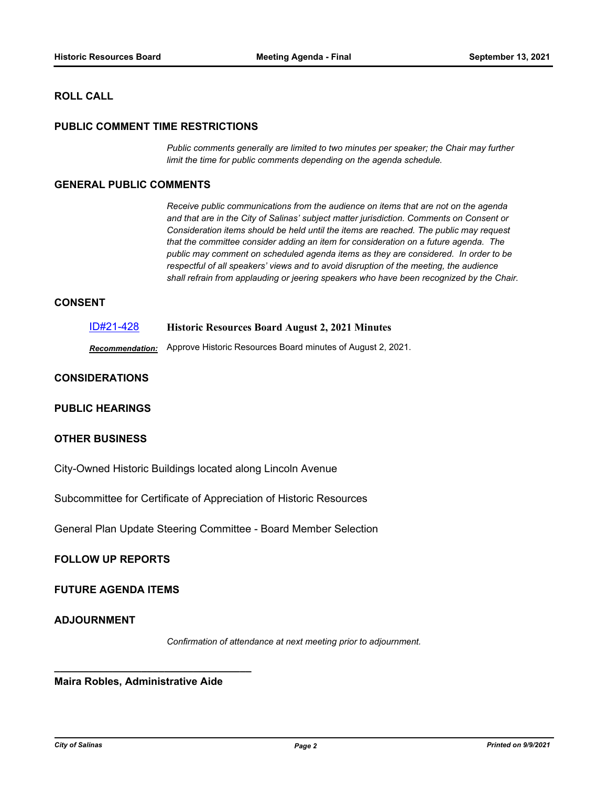# **ROLL CALL**

### **PUBLIC COMMENT TIME RESTRICTIONS**

*Public comments generally are limited to two minutes per speaker; the Chair may further limit the time for public comments depending on the agenda schedule.*

## **GENERAL PUBLIC COMMENTS**

*Receive public communications from the audience on items that are not on the agenda and that are in the City of Salinas' subject matter jurisdiction. Comments on Consent or Consideration items should be held until the items are reached. The public may request that the committee consider adding an item for consideration on a future agenda. The public may comment on scheduled agenda items as they are considered. In order to be respectful of all speakers' views and to avoid disruption of the meeting, the audience shall refrain from applauding or jeering speakers who have been recognized by the Chair.*

### **CONSENT**

| ID#21-428 | <b>Historic Resources Board August 2, 2021 Minutes</b> |
|-----------|--------------------------------------------------------|
|           |                                                        |

*Recommendation:* Approve Historic Resources Board minutes of August 2, 2021.

# **CONSIDERATIONS**

#### **PUBLIC HEARINGS**

## **OTHER BUSINESS**

City-Owned Historic Buildings located along Lincoln Avenue

Subcommittee for Certificate of Appreciation of Historic Resources

General Plan Update Steering Committee - Board Member Selection

### **FOLLOW UP REPORTS**

# **FUTURE AGENDA ITEMS**

### **ADJOURNMENT**

*Confirmation of attendance at next meeting prior to adjournment.*

**Maira Robles, Administrative Aide**

**\_\_\_\_\_\_\_\_\_\_\_\_\_\_\_\_\_\_\_\_\_\_\_\_\_\_\_\_\_\_\_\_\_\_**